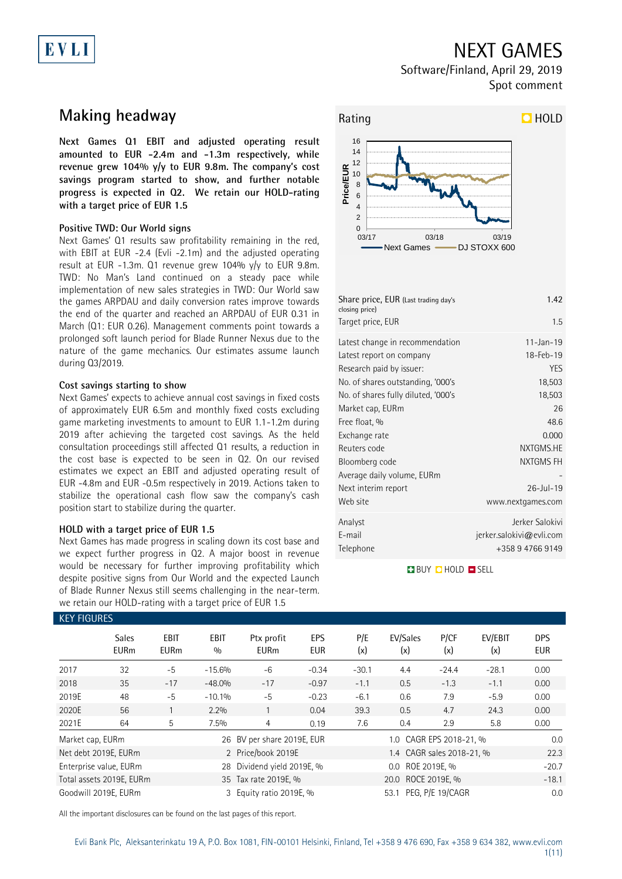# NEXT GAMES

Software/Finland, April 29, 2019 Spot comment

## **Making headway**

EVLI

**Next Games Q1 EBIT and adjusted operating result amounted to EUR -2.4m and -1.3m respectively, while revenue grew 104% y/y to EUR 9.8m. The company's cost savings program started to show, and further notable progress is expected in Q2. We retain our HOLD-rating with a target price of EUR 1.5**

### **Positive TWD: Our World signs**

Next Games' Q1 results saw profitability remaining in the red, with EBIT at EUR -2.4 (Evli -2.1m) and the adjusted operating result at EUR -1.3m. Q1 revenue grew 104% y/y to EUR 9.8m. TWD: No Man's Land continued on a steady pace while implementation of new sales strategies in TWD: Our World saw the games ARPDAU and daily conversion rates improve towards the end of the quarter and reached an ARPDAU of EUR 0.31 in March (Q1: EUR 0.26). Management comments point towards a prolonged soft launch period for Blade Runner Nexus due to the nature of the game mechanics. Our estimates assume launch during Q3/2019.

### **Cost savings starting to show**

Next Games' expects to achieve annual cost savings in fixed costs of approximately EUR 6.5m and monthly fixed costs excluding game marketing investments to amount to EUR 1.1-1.2m during 2019 after achieving the targeted cost savings. As the held consultation proceedings still affected Q1 results, a reduction in the cost base is expected to be seen in Q2. On our revised estimates we expect an EBIT and adjusted operating result of EUR -4.8m and EUR -0.5m respectively in 2019. Actions taken to stabilize the operational cash flow saw the company's cash position start to stabilize during the quarter.

### **HOLD with a target price of EUR 1.5**

Next Games has made progress in scaling down its cost base and we expect further progress in Q2. A major boost in revenue would be necessary for further improving profitability which despite positive signs from Our World and the expected Launch of Blade Runner Nexus still seems challenging in the near-term. we retain our HOLD-rating with a target price of EUR 1.5



| Share price, EUR (Last trading day's<br>closing price) | 1.42                     |
|--------------------------------------------------------|--------------------------|
| Target price, EUR                                      | 1.5                      |
| Latest change in recommendation                        | $11 - Jan - 19$          |
| Latest report on company                               | 18-Feb-19                |
| Research paid by issuer:                               | <b>YES</b>               |
| No. of shares outstanding, '000's                      | 18,503                   |
| No. of shares fully diluted, '000's                    | 18,503                   |
| Market cap, EURm                                       | 26                       |
| Free float, %                                          | 48.6                     |
| Exchange rate                                          | 0.000                    |
| Reuters code                                           | NXTGMS.HE                |
| Bloomberg code                                         | <b>NXTGMS FH</b>         |
| Average daily volume, EURm                             |                          |
| Next interim report                                    | $26 -  u  - 19$          |
| Web site                                               | www.nextgames.com        |
| Analyst                                                | Jerker Salokivi          |
| E-mail                                                 | jerker.salokivi@evli.com |
| Telephone                                              | +358 9 4766 9149         |

**BUY QHOLD SELL** 

| <b>KEY FIGURES</b> |                             |                     |                    |                            |                   |                    |                           |              |                |                   |
|--------------------|-----------------------------|---------------------|--------------------|----------------------------|-------------------|--------------------|---------------------------|--------------|----------------|-------------------|
|                    | <b>Sales</b><br><b>EURm</b> | EBIT<br><b>EURm</b> | <b>EBIT</b><br>0/0 | Ptx profit<br><b>EURm</b>  | EPS<br><b>EUR</b> | P/E<br>(x)         | EV/Sales<br>(x)           | P/CF<br>(x)  | EV/EBIT<br>(x) | DPS<br><b>EUR</b> |
| 2017               | 32                          | $-5$                | $-15.6%$           | -6                         | $-0.34$           | $-30.1$            | 4.4                       | $-24.4$      | $-28.1$        | 0.00              |
| 2018               | 35                          | $-17$               | $-48.0%$           | $-17$                      | $-0.97$           | $-1.1$             | 0.5                       | $-1.3$       | $-1.1$         | 0.00              |
| 2019E              | 48                          | $-5$                | $-10.1%$           | $-5$                       | $-0.23$           | $-6.1$             | 0.6                       | 7.9          | $-5.9$         | 0.00              |
| 2020E              | 56                          |                     | 2.2%               |                            | 0.04              | 39.3               | 0.5                       | 4.7          | 24.3           | 0.00              |
| 2021E              | 64                          | 5                   | 7.5%               | 4                          | 0.19              | 7.6                | 0.4                       | 2.9          | 5.8            | 0.00              |
| Market cap, EURm   |                             |                     |                    | 26 BV per share 2019E, EUR |                   |                    | 0.0                       |              |                |                   |
|                    | Net debt 2019E, EURm        |                     |                    | 2 Price/book 2019E         |                   |                    | 1.4 CAGR sales 2018-21, % |              |                | 22.3              |
|                    | Enterprise value, EURm      |                     | 28                 | Dividend yield 2019E, %    |                   |                    | $0.0\,$                   | ROE 2019E, % |                | $-20.7$           |
|                    | Total assets 2019E, EURm    |                     |                    | 35 Tax rate 2019E, %       |                   | 20.0 ROCE 2019E, % |                           |              |                | $-18.1$           |
|                    | Goodwill 2019E, EURm        |                     |                    | 3 Equity ratio 2019E, %    |                   |                    | PEG, P/E 19/CAGR          | 0.0          |                |                   |

All the important disclosures can be found on the last pages of this report.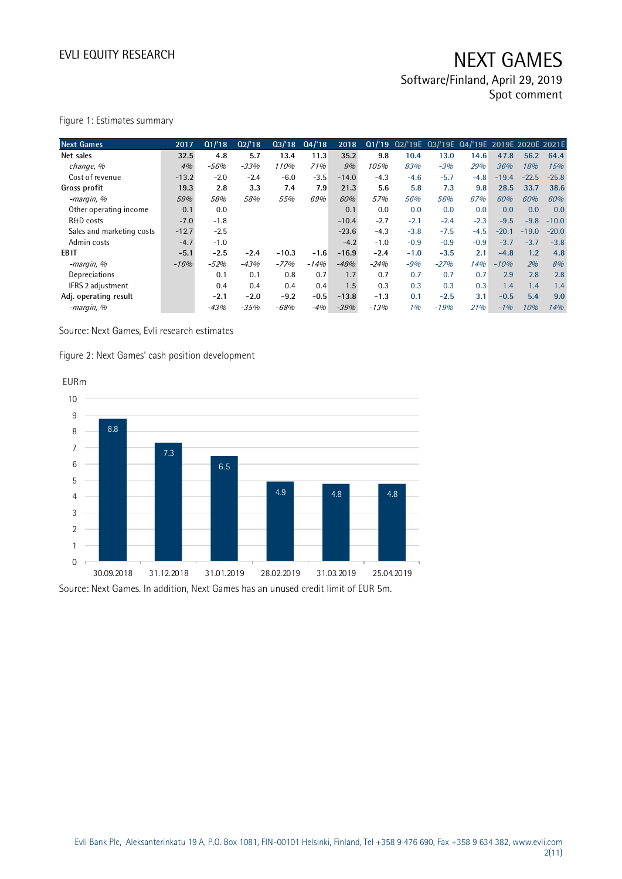Software/Finland, April 29, 2019 Spot comment

| <b>Next Games</b>         | 2017    | Q1/18  | Q2/18  | Q3/18   | Q4/18  | 2018    | Q1/19  |        | 02/'19E 03/'19E 04/'19E 2019E 2020E 2021E |        |         |         |         |
|---------------------------|---------|--------|--------|---------|--------|---------|--------|--------|-------------------------------------------|--------|---------|---------|---------|
| Net sales                 | 32.5    | 4.8    | 5.7    | 13.4    | 11.3   | 35.2    | 9.8    | 10.4   | 13.0                                      | 14.6   | 47.8    | 56.2    | 64.4    |
| change, %                 | 4%      | $-56%$ | $-33%$ | 110%    | 71%    | 9%      | 105%   | 83%    | $-3%$                                     | 29%    | 36%     | 18%     | 15%     |
| Cost of revenue           | $-13.2$ | $-2.0$ | $-2.4$ | $-6.0$  | $-3.5$ | $-14.0$ | $-4.3$ | $-4.6$ | $-5.7$                                    | $-4.8$ | $-19.4$ | $-22.5$ | $-25.8$ |
| Gross profit              | 19.3    | 2.8    | 3.3    | 7.4     | 7.9    | 21.3    | 5.6    | 5.8    | 7.3                                       | 9.8    | 28.5    | 33.7    | 38.6    |
| -margin, %                | 59%     | 58%    | 58%    | 55%     | 69%    | 60%     | 57%    | 56%    | 56%                                       | 67%    | 60%     | 60%     | 60%     |
| Other operating income    | 0.1     | 0.0    |        |         |        | 0.1     | 0.0    | 0.0    | 0.0                                       | 0.0    | 0.0     | 0.0     | 0.0     |
| <b>R&amp;D</b> costs      | $-7.0$  | $-1.8$ |        |         |        | $-10.4$ | $-2.7$ | $-2.1$ | $-2.4$                                    | $-2.3$ | $-9.5$  | $-9.8$  | $-10.0$ |
| Sales and marketing costs | $-12.7$ | $-2.5$ |        |         |        | $-23.6$ | $-4.3$ | $-3.8$ | $-7.5$                                    | $-4.5$ | $-20.1$ | $-19.0$ | $-20.0$ |
| Admin costs               | $-4.7$  | $-1.0$ |        |         |        | $-4.2$  | $-1.0$ | $-0.9$ | $-0.9$                                    | $-0.9$ | $-3.7$  | $-3.7$  | $-3.8$  |
| EB <sub>IT</sub>          | $-5.1$  | $-2.5$ | $-2.4$ | $-10.3$ | $-1.6$ | $-16.9$ | $-2.4$ | $-1.0$ | $-3.5$                                    | 2.1    | $-4.8$  | 1.2     | 4.8     |
| -margin, %                | $-16%$  | $-52%$ | $-43%$ | $-77%$  | $-14%$ | $-48%$  | $-24%$ | $-9%$  | $-27%$                                    | 14%    | $-10%$  | 2%      | 8%      |
| Depreciations             |         | 0.1    | 0.1    | 0.8     | 0.7    | 1.7     | 0.7    | 0.7    | 0.7                                       | 0.7    | 2.9     | 2.8     | 2.8     |
| IFRS 2 adjustment         |         | 0.4    | 0.4    | 0.4     | 0.4    | 1.5     | 0.3    | 0.3    | 0.3                                       | 0.3    | 1.4     | 1.4     | 1.4     |
| Adj. operating result     |         | $-2.1$ | $-2.0$ | $-9.2$  | $-0.5$ | $-13.8$ | $-1.3$ | 0.1    | $-2.5$                                    | 3.1    | $-0.5$  | 5.4     | 9.0     |
| -margin, %                |         | $-43%$ | $-35%$ | $-68%$  | $-4%$  | $-39%$  | $-13%$ | 1%     | $-19%$                                    | 21%    | $-1%$   | 10%     | 14%     |

Source: Next Games, Evli research estimates

Figure 2: Next Games' cash position development

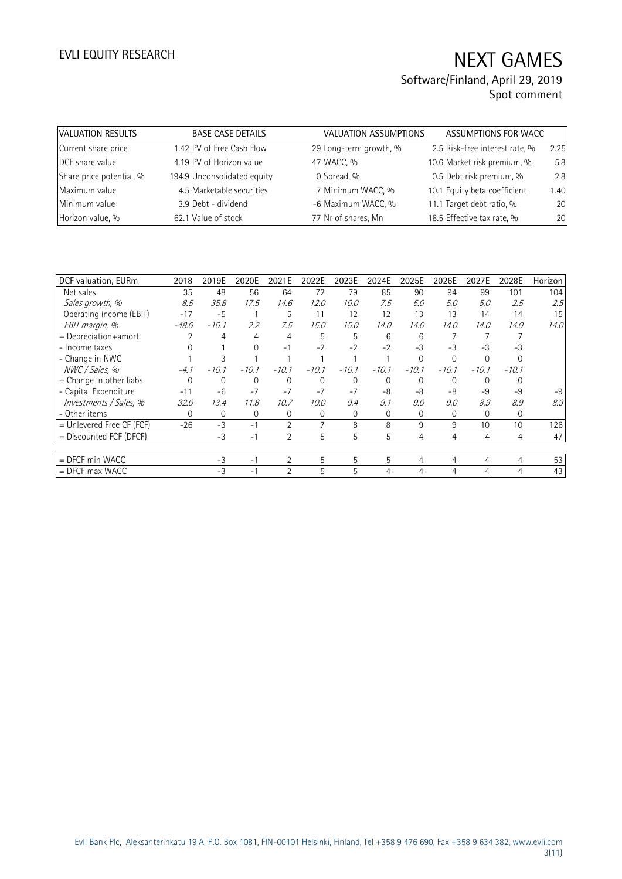| VALUATION RESULTS        | <b>BASE CASE DETAILS</b>    | <b>VALUATION ASSUMPTIONS</b> | ASSUMPTIONS FOR WACC           |      |
|--------------------------|-----------------------------|------------------------------|--------------------------------|------|
| Current share price      | 1.42 PV of Free Cash Flow   | 29 Long-term growth, %       | 2.5 Risk-free interest rate, % | 2.25 |
| DCF share value          | 4.19 PV of Horizon value    | 47 WACC, %                   | 10.6 Market risk premium, %    | 5.8  |
| Share price potential, % | 194.9 Unconsolidated equity | 0 Spread, %                  | 0.5 Debt risk premium, %       | 2.8  |
| Maximum value            | 4.5 Marketable securities   | 7 Minimum WACC, %            | 10.1 Equity beta coefficient   | 1.40 |
| Minimum value            | 3.9 Debt - dividend         | -6 Maximum WACC, %           | 11.1 Target debt ratio, %      | 20   |
| Horizon value, %         | 62.1 Value of stock         | 77 Nr of shares, Mn          | 18.5 Effective tax rate, %     | 20   |

| DCF valuation, EURm         | 2018     | 2019E   | 2020E    | 2021E          | 2022E          | 2023E    | 2024E    | 2025E          | 2026E    | 2027E    | 2028E       | Horizon |
|-----------------------------|----------|---------|----------|----------------|----------------|----------|----------|----------------|----------|----------|-------------|---------|
| Net sales                   | 35       | 48      | 56       | 64             | 72             | 79       | 85       | 90             | 94       | 99       | 101         | 104     |
| Sales growth, %             | 8.5      | 35.8    | 17.5     | 14.6           | 12.0           | 10.0     | 7.5      | 5.0            | 5.0      | 5.0      | 2.5         | 2.5     |
| Operating income (EBIT)     | $-17$    | $-5$    |          | 5              | 11             | 12       | 12       | 13             | 13       | 14       | 14          | 15      |
| EBIT margin, %              | $-48.0$  | $-10.1$ | $2.2\,$  | 7.5            | 15.0           | 15.0     | 14.0     | 14.0           | 14.0     | 14.0     | 14.0        | 14.0    |
| + Depreciation+amort.       |          | 4       | 4        | 4              | 5              | 5        | 6        | 6              |          |          |             |         |
| - Income taxes              |          |         | $\Omega$ | $-1$           | $-2$           | $-2$     | $-2$     | $-3$           | -3       | $-3$     | -3          |         |
| - Change in NWC             |          | 3       |          |                |                |          |          | $\Omega$       | $\Omega$ |          |             |         |
| NWC / Sales, %              | $-4.1$   | $-10.1$ | $-10.1$  | $-10.1$        | $-10.1$        | $-10.1$  | $-10.1$  | $-10.1$        | $-10.1$  | $-10.1$  | $-10.1$     |         |
| + Change in other liabs     | $\Omega$ | 0       | 0        | 0              | $\Omega$       | $\Omega$ | $\Omega$ | $\Omega$       | $\Omega$ | $\Omega$ |             |         |
| - Capital Expenditure       | $-11$    | $-6$    | $-7$     | $-7$           | $-7$           | $-7$     | -8       | -8             | $-8$     | $-9$     | $-9$        | $-9$    |
| Investments / Sales, %      | 32.0     | 13.4    | 11.8     | 10.7           | 10.0           | 9.4      | 9.1      | 9.0            | 9.0      | 8.9      | 8.9         | 8.9     |
| - Other items               | $\Omega$ | 0       | 0        | 0              | 0              | $\Omega$ | 0        | $\Omega$       | 0        | $\Omega$ | $\mathbf 0$ |         |
| $=$ Unlevered Free CF (FCF) | $-26$    | $-3$    | $-1$     | 2              | $\overline{7}$ | 8        | 8        | 9              | 9        | 10       | 10          | 126     |
| = Discounted FCF (DFCF)     |          | $-3$    | $-1$     | $\overline{2}$ | 5              | 5        | 5        | 4              | 4        | 4        | 4           | 47      |
|                             |          |         |          |                |                |          |          |                |          |          |             |         |
| = DFCF min WACC             |          | $-3$    | $-1$     | $\overline{2}$ | 5              | 5        | 5        | $\overline{4}$ | 4        | 4        | 4           | 53      |
| $=$ DFCF max WACC           |          | $-3$    | $-1$     | $\overline{2}$ | 5              | 5        | 4        | 4              | 4        | 4        | 4           | 43      |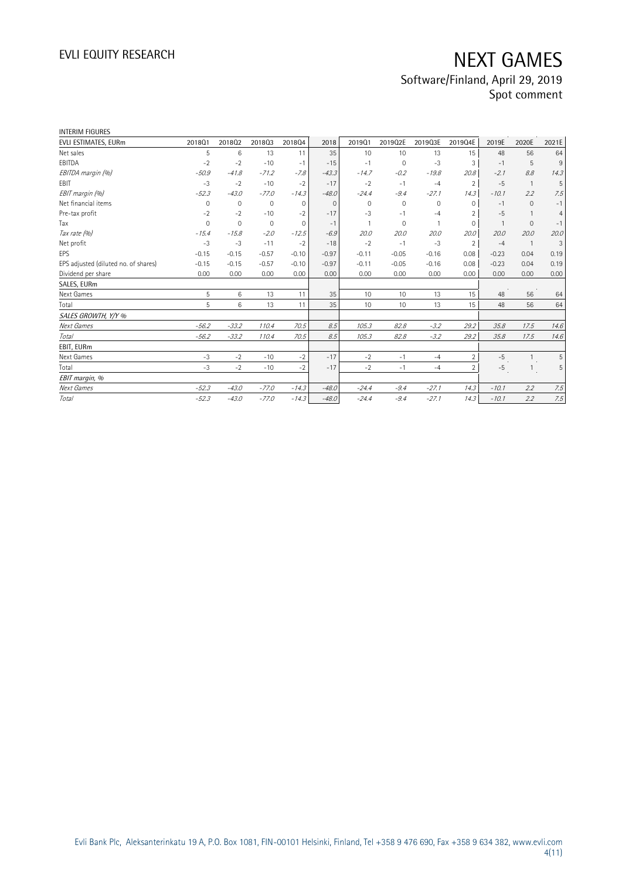| <b>INTERIM FIGURES</b>               |             |              |              |              |          |             |             |         |                |                |                |                |
|--------------------------------------|-------------|--------------|--------------|--------------|----------|-------------|-------------|---------|----------------|----------------|----------------|----------------|
| EVLI ESTIMATES, EURm                 | 201801      | 201802       | 201803       | 201804       | 2018     | 201901      | 2019Q2E     | 2019Q3E | 2019Q4E        | 2019E          | 2020E          | 2021E          |
| Net sales                            | 5           | 6            | 13           | 11           | 35       | 10          | 10          | 13      | 15             | 48             | 56             | 64             |
| EBITDA                               | $-2$        | $-2$         | $-10$        | $-1$         | $-15$    | $-1$        | 0           | $-3$    | 3              | $-1$           | 5              | 9              |
| EBITDA margin (%)                    | $-50.9$     | $-41.8$      | $-71.2$      | $-7.8$       | $-43.3$  | $-14.7$     | $-0.2$      | $-19.8$ | 20.8           | $-2.1$         | 8.8            | 14.3           |
| EBIT                                 | $-3$        | $-2$         | $-10$        | $-2$         | $-17$    | $-2$        | $-1$        | $-4$    | $\overline{2}$ | $-5$           | $\overline{1}$ | 5              |
| EBIT margin (%)                      | $-52.3$     | $-43.0$      | $-77.0$      | $-14.3$      | $-48.0$  | $-24.4$     | $-9.4$      | $-27.1$ | 14.3           | $-10.1$        | 2.2            | 7.5            |
| Net financial items                  | 0           | 0            | $\mathbf{0}$ | 0            | $\Omega$ | $\mathbf 0$ | $\mathbf 0$ | 0       | 0              | $-1$           | $\mathbf{0}$   | $-1$           |
| Pre-tax profit                       | $-2$        | $-2$         | $-10$        | $-2$         | $-17$    | $-3$        | $-1$        | $-4$    | $\overline{2}$ | $-5$           | $\overline{1}$ | $\overline{4}$ |
| Tax                                  | $\mathbf 0$ | $\mathbf{0}$ | $\mathbf{0}$ | $\mathbf{0}$ | $-1$     |             | 0           |         | $\mathbf 0$    | $\overline{1}$ | $\mathbf{0}$   | $-1$           |
| Tax rate (%)                         | $-15.4$     | $-15.8$      | $-2.0$       | $-12.5$      | $-6.9$   | 20.0        | 20.0        | 20.0    | 20.0           | 20.0           | 20.0           | 20.0           |
| Net profit                           | $-3$        | $-3$         | $-11$        | $-2$         | $-18$    | $-2$        | $-1$        | $-3$    | $\overline{2}$ | $-4$           | $\overline{1}$ | 3              |
| EPS                                  | $-0.15$     | $-0.15$      | $-0.57$      | $-0.10$      | $-0.97$  | $-0.11$     | $-0.05$     | $-0.16$ | 0.08           | $-0.23$        | 0.04           | 0.19           |
| EPS adjusted (diluted no. of shares) | $-0.15$     | $-0.15$      | $-0.57$      | $-0.10$      | $-0.97$  | $-0.11$     | $-0.05$     | $-0.16$ | 0.08           | $-0.23$        | 0.04           | 0.19           |
| Dividend per share                   | 0.00        | 0.00         | 0.00         | 0.00         | 0.00     | 0.00        | 0.00        | 0.00    | 0.00           | 0.00           | 0.00           | 0.00           |
| SALES, EURm                          |             |              |              |              |          |             |             |         |                |                |                |                |
| Next Games                           | 5           | 6            | 13           | 11           | 35       | 10          | 10          | 13      | 15             | 48             | 56             | 64             |
| Total                                | 5           | 6            | 13           | 11           | 35       | 10          | 10          | 13      | 15             | 48             | 56             | 64             |
| SALES GROWTH, Y/Y %                  |             |              |              |              |          |             |             |         |                |                |                |                |
| Next Games                           | $-56.2$     | $-33.2$      | 110.4        | 70.5         | 8.5      | 105.3       | 82.8        | $-3.2$  | 29.2           | 35.8           | 17.5           | 14.6           |
| Total                                | $-56.2$     | $-33.2$      | 110.4        | 70.5         | 8.5      | 105.3       | 82.8        | $-3.2$  | 29.2           | 35.8           | 17.5           | 14.6           |
| EBIT, EURm                           |             |              |              |              |          |             |             |         |                |                |                |                |
| Next Games                           | $-3$        | $-2$         | $-10$        | $-2$         | $-17$    | $-2$        | $-1$        | $-4$    | $\overline{2}$ | $-5$           | $\overline{1}$ | 5              |
| Total                                | $-3$        | $-2$         | $-10$        | $-2$         | $-17$    | $-2$        | $-1$        | $-4$    | $\overline{2}$ | $-5$           | $\overline{1}$ | 5              |
| EBIT margin, %                       |             |              |              |              |          |             |             |         |                |                |                |                |
| Next Games                           | $-52.3$     | $-43.0$      | $-77.0$      | $-14.3$      | $-48.0$  | $-24.4$     | $-9.4$      | $-27.1$ | 14.3           | $-10.1$        | 2.2            | 7.5            |
| Total                                | $-52.3$     | $-43.0$      | $-77.0$      | $-14.3$      | $-48.0$  | $-24.4$     | $-9.4$      | $-27.1$ | 14.3           | $-10.1$        | 2.2            | 7.5            |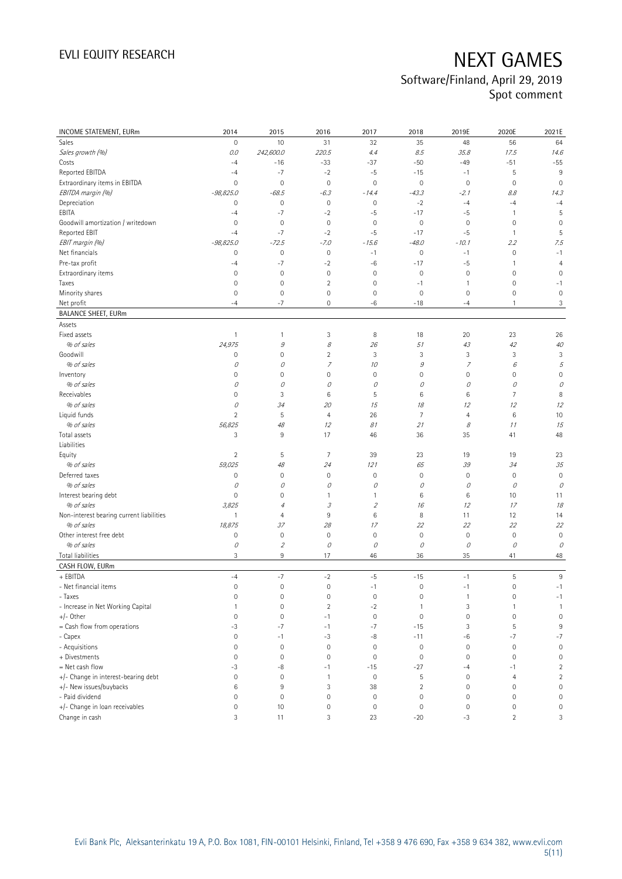| <b>INCOME STATEMENT, EURm</b>            | 2014                | 2015                        | 2016                     | 2017                | 2018           | 2019E               | 2020E          | 2021E               |
|------------------------------------------|---------------------|-----------------------------|--------------------------|---------------------|----------------|---------------------|----------------|---------------------|
| Sales                                    | 0                   | 10                          | 31                       | 32                  | 35             | 48                  | 56             | 64                  |
| Sales growth (%)                         | 0.0                 | 242,600.0                   | 220.5                    | 4.4                 | 8.5            | 35.8                | 17.5           | 14.6                |
| Costs                                    | $-4$                | $-16$                       | $-33$                    | $-37$               | $-50$          | -49                 | $-51$          | $-55$               |
| Reported EBITDA                          | $-4$                | $-7$                        | $-2$                     | $-5$                | $-15$          | $-1$                | 5              | 9                   |
| Extraordinary items in EBITDA            | 0                   | $\mathbf 0$                 | $\mathbf 0$              | $\mathbf 0$         | $\mathbb O$    | $\mathbf 0$         | $\mathbf 0$    | $\mathbf 0$         |
| EBITDA margin (%)                        | $-98,825.0$         | $-68.5$                     | $-6.3$                   | $-14.4$             | $-43.3$        | $-2.1$              | 8.8            | 14.3                |
| Depreciation                             | 0                   | $\mathbf 0$                 | $\mathbf 0$              | $\mathsf{O}\xspace$ | $-2$           | $-4$                | $-4$           | $-4$                |
| EBITA                                    | $-4$                | $-7$                        | $-2$                     | $-5$                | $-17$          | -5                  | 1              | 5                   |
| Goodwill amortization / writedown        | $\mathbf 0$         | $\mathbf 0$                 | $\mathbf 0$              | $\mathbf 0$         | $\mathbf 0$    | $\mathbf 0$         | $\mathbf 0$    | $\mathbf 0$         |
| Reported EBIT                            | $-4$                | $-7$                        | $-2$                     | $-5$                | $-17$          | $-5$                | $\mathbf{1}$   | 5                   |
| EBIT margin (%)                          | $-98,825.0$         | $-72.5$                     | $-7.0$                   | $-15.6$             | $-48.0$        | $-10.1$             | 2.2            | 7.5                 |
| Net financials                           | 0                   | $\mathbf 0$                 | $\mathbf 0$              | $-1$                | $\mathbf 0$    | $-1$                | $\mathbf 0$    | $-1$                |
| Pre-tax profit                           | $-4$                | $-7$                        | $-2$                     | $-6$                | $-17$          | -5                  | 1              | $\overline{4}$      |
| Extraordinary items                      | $\mathsf{O}\xspace$ | $\mathbf 0$                 | $\mathbf 0$              | $\mathbf 0$         | $\mathbf 0$    | $\mathbb O$         | 0              | 0                   |
| Taxes                                    | 0                   | $\mathbf 0$                 | $\overline{c}$           | $\mathbf 0$         | $-1$           | $\mathbf{1}$        | 0              | $-1$                |
| Minority shares                          | $\mathsf{O}\xspace$ | $\mathbf 0$                 | $\mathsf{O}\xspace$      | $\mathbf 0$         | $\mathbf 0$    | $\mathbf 0$         | 0              | $\mathbf 0$         |
| Net profit                               | $-4$                | $-7$                        | 0                        | -6                  | $-18$          | $-4$                | $\mathbf{1}$   | 3                   |
| <b>BALANCE SHEET, EURm</b>               |                     |                             |                          |                     |                |                     |                |                     |
| Assets                                   |                     |                             |                          |                     |                |                     |                |                     |
| Fixed assets                             | $\mathbf{1}$        | $\mathbf{1}$                | 3                        | 8                   | 18             | 20                  | 23             | 26                  |
|                                          |                     |                             |                          |                     |                |                     |                |                     |
| % of sales                               | 24,975              | 9                           | 8                        | 26                  | 51             | 43                  | 42             | 40                  |
| Goodwill                                 | 0                   | $\mathbf 0$                 | $\overline{c}$           | 3                   | 3              | 3                   | 3              | 3                   |
| % of sales                               | 0                   | 0                           | $\overline{\phantom{a}}$ | 10                  | 9              | $\boldsymbol{7}$    | 6              | 5                   |
| Inventory                                | $\mathsf{O}\xspace$ | $\mathbf 0$                 | 0                        | 0                   | $\mathbf 0$    | $\mathsf{O}\xspace$ | 0              | $\overline{0}$      |
| % of sales                               | 0                   | 0                           | 0                        | 0                   | 0              | 0                   | 0              | 0                   |
| Receivables                              | 0                   | 3                           | 6                        | 5                   | 6              | 6                   | 7              | 8                   |
| % of sales                               | 0                   | 34                          | 20                       | 15                  | 18             | 12                  | 12             | 12                  |
| Liquid funds                             | $\overline{c}$      | $\sqrt{5}$                  | 4                        | 26                  | $\overline{7}$ | $\overline{4}$      | 6              | 10                  |
| % of sales                               | 56,825              | 48                          | 12                       | 81                  | 21             | 8                   | 11             | 15                  |
| Total assets<br>Liabilities              | 3                   | $9\,$                       | 17                       | 46                  | 36             | 35                  | 41             | 48                  |
| Equity                                   | $\overline{2}$      | 5                           | 7                        | 39                  | 23             | 19                  | 19             | 23                  |
| % of sales                               | 59,025              | 48                          | 24                       | 121                 | 65             | 39                  | 34             | 35                  |
| Deferred taxes                           | $\mathsf{O}\xspace$ | $\mathbf 0$                 | $\mathbf 0$              | 0                   | $\mathbf 0$    | $\mathbf 0$         | $\mathbf 0$    | $\mathbf 0$         |
| % of sales                               | 0                   | 0                           | 0                        | 0                   | 0              | 0                   | 0              | 0                   |
| Interest bearing debt                    | 0                   | $\mathbf 0$                 | 1                        | 1                   | 6              | 6                   | 10             | 11                  |
| % of sales                               | 3,825               | 4                           | 3                        | $\mathfrak z$       | 16             | 12                  | 17             | 18                  |
| Non-interest bearing current liabilities | $\mathbf{1}$        | $\overline{4}$              | 9                        | 6                   | 8              | 11                  | 12             | 14                  |
| % of sales                               | 18,875              | 37                          | 28                       | 17                  | 22             | 22                  | 22             | 22                  |
| Other interest free debt                 | $\mathsf{O}\xspace$ | $\mathbf 0$                 | $\mathbf 0$              | $\mathbf 0$         | $\mathbf 0$    | $\mathbf 0$         | $\mathbf 0$    | $\circ$             |
| % of sales                               | 0                   | $\mathcal{L}_{\mathcal{L}}$ | 0                        | 0                   | 0              | 0                   | 0              | 0                   |
| Total liabilities                        | 3                   | $9\,$                       | 17                       | 46                  | 36             | 35                  | 41             | 48                  |
| CASH FLOW, EURm                          |                     |                             |                          |                     |                |                     |                |                     |
| + EBITDA                                 | $-4$                | $-7$                        | $-2$                     | $-5$                | $-15$          | $-1$                | 5              | $9\,$               |
| - Net financial items                    | 0                   | $\mathbf 0$                 | $\mathbf 0$              | $-1$                | $\mathbf 0$    | $-1$                | 0              | $-1$                |
| - Taxes                                  | 0                   | 0                           | 0                        | 0                   | 0              | $\mathbf{1}$        | 0              | $-1$                |
| - Increase in Net Working Capital        | $\mathbf{1}$        | $\mathbf 0$                 | $\overline{c}$           | $-2$                | $\mathbf{1}$   | $\sqrt{3}$          | 1              | $\mathbf{1}$        |
| +/- Other                                | $\mathsf{O}\xspace$ | $\mathbf 0$                 | $-1$                     | $\mathbf 0$         | $\mathbf 0$    | $\mathbf 0$         | $\mathbf 0$    | $\mathbf 0$         |
| = Cash flow from operations              | -3                  | $-7$                        | $-1$                     | $-7$                | $-15$          | 3                   | 5              | $\,9$               |
| - Capex                                  | 0                   | $-1$                        | $-3$                     | $-8$                | $-11$          | -6                  | $-7$           | $-7$                |
| - Acquisitions                           | 0                   | $\mathbf 0$                 | $\mathbf 0$              | $\mathbf 0$         | $\mathbf 0$    | $\mathsf{O}\xspace$ | $\mathbf 0$    | $\mathbb O$         |
| + Divestments                            | 0                   | $\mathbf 0$                 | $\mathsf{O}\xspace$      | $\mathsf{O}\xspace$ | $\mathbf 0$    | $\mathbf 0$         | $\mathbf 0$    | $\mathsf{O}\xspace$ |
| = Net cash flow                          | $-3$                | -8                          | $-1$                     | $-15$               | $-27$          | $-4$                | $-1$           | $\overline{2}$      |
| +/- Change in interest-bearing debt      | 0                   | $\mathbb O$                 | $\mathbf{1}$             | $\mathsf{O}\xspace$ | 5              | $\mathbb O$         | $\overline{4}$ | $\overline{2}$      |
| +/- New issues/buybacks                  | $\,6$               | 9                           | 3                        | 38                  | $\overline{2}$ | $\mathsf{O}\xspace$ | $\mathbf 0$    | $\mathsf{O}\xspace$ |
| - Paid dividend                          | 0                   | $\mathbf 0$                 | 0                        | $\mathbf 0$         | $\mathbf 0$    | $\mathbb O$         | $\mathbf 0$    | $\mathbf 0$         |
| +/- Change in loan receivables           | 0                   | 10                          | $\mathsf{O}\xspace$      | $\mathbb O$         | $\mathbf 0$    | $\mathsf{O}\xspace$ | $\mathbf 0$    | $\mathsf{O}\xspace$ |
| Change in cash                           | 3                   | 11                          | 3                        | 23                  | $-20$          | $-3$                | $\overline{c}$ | 3                   |
|                                          |                     |                             |                          |                     |                |                     |                |                     |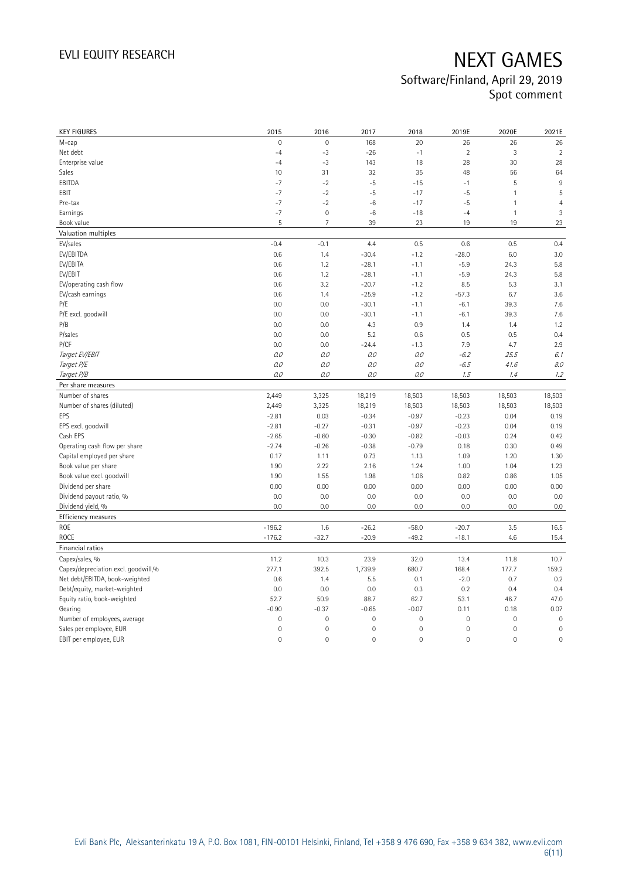| <b>KEY FIGURES</b>                                          | 2015                       | 2016                       | 2017                               | 2018                      | 2019E                      | 2020E                                      | 2021E                      |
|-------------------------------------------------------------|----------------------------|----------------------------|------------------------------------|---------------------------|----------------------------|--------------------------------------------|----------------------------|
| M-cap                                                       | $\mathsf{O}\xspace$        | $\mathbf{0}$               | 168                                | 20                        | 26                         | 26                                         | 26                         |
| Net debt                                                    | $-4$                       | $-3$                       | $-26$                              | $-1$                      | $\overline{2}$             | 3                                          | $\overline{2}$             |
| Enterprise value                                            | $-4$                       | $-3$                       | 143                                | 18                        | 28                         | 30                                         | 28                         |
| Sales                                                       | 10                         | 31                         | 32                                 | 35                        | 48                         | 56                                         | 64                         |
| EBITDA                                                      | $-7$                       | $-2$                       | $-5$                               | $-15$                     | $-1$                       | 5                                          | $9\,$                      |
| EBIT                                                        | $-7$                       | $-2$                       | $-5$                               | $-17$                     | $-5$                       | $\mathbf{1}$                               | 5                          |
| Pre-tax                                                     | $-7$                       | $-2$                       | $-6$                               | $-17$                     | $-5$                       | $\mathbf{1}$                               | $\overline{4}$             |
| Earnings                                                    | $-7$                       | $\mathbf 0$                | $^{\rm -6}$                        | $-18$                     | $-4$                       | $\mathbf{1}$                               | 3                          |
| Book value                                                  | 5                          | $\overline{7}$             | 39                                 | 23                        | 19                         | 19                                         | 23                         |
| Valuation multiples                                         |                            |                            |                                    |                           |                            |                                            |                            |
| EV/sales                                                    | $-0.4$                     | $-0.1$                     | 4.4                                | 0.5                       | 0.6                        | 0.5                                        | 0.4                        |
| EV/EBITDA                                                   | 0.6                        | 1.4                        | $-30.4$                            | $-1.2$                    | $-28.0$                    | 6.0                                        | 3.0                        |
| EV/EBITA                                                    | 0.6                        | 1.2                        | $-28.1$                            | $-1.1$                    | $-5.9$                     | 24.3                                       | 5.8                        |
| EV/EBIT                                                     | 0.6                        | 1.2                        | $-28.1$                            | $-1.1$                    | $-5.9$                     | 24.3                                       | 5.8                        |
| EV/operating cash flow                                      | 0.6                        | 3.2                        | $-20.7$                            | $-1.2$                    | 8.5                        | 5.3                                        | 3.1                        |
| EV/cash earnings                                            | 0.6                        | 1.4                        | $-25.9$                            | $-1.2$                    | $-57.3$                    | 6.7                                        | 3.6                        |
| P/E                                                         | 0.0                        | 0.0                        | $-30.1$                            | $-1.1$                    | $-6.1$                     | 39.3                                       | 7.6                        |
| P/E excl. goodwill                                          | 0.0                        | 0.0                        | $-30.1$                            | $-1.1$                    | $-6.1$                     | 39.3                                       | 7.6                        |
| P/B                                                         | 0.0                        | 0.0                        | 4.3                                | 0.9                       | 1.4                        | 1.4                                        | 1.2                        |
| P/sales                                                     | 0.0                        | 0.0                        | 5.2                                | 0.6                       | 0.5                        | 0.5                                        | 0.4                        |
| P/CF                                                        | 0.0                        | 0.0                        | $-24.4$                            | $-1.3$                    | 7.9                        | 4.7                                        | 2.9                        |
| Target EV/EBIT                                              | O.O                        | 0.0                        | 0.0                                | 0.0                       | $-6.2$                     | 25.5                                       | 6.1                        |
| Target P/E                                                  | $0.0\,$                    | 0.0                        | 0.0                                | O.O                       | $-6.5$                     | 41.6                                       | 8.0                        |
| Target P/B                                                  | $0.0\,$                    | 0.0                        | 0.0                                | 0.0                       | 1.5                        | 1.4                                        | 1.2                        |
| Per share measures                                          |                            |                            |                                    |                           |                            |                                            |                            |
|                                                             |                            |                            |                                    |                           | 18,503                     |                                            |                            |
| Number of shares                                            | 2,449                      | 3,325                      | 18,219                             | 18,503                    |                            | 18,503                                     | 18,503                     |
|                                                             |                            |                            |                                    |                           |                            |                                            |                            |
| Number of shares (diluted)<br>EPS                           | 2,449<br>$-2.81$           | 3,325<br>0.03              | 18,219<br>$-0.34$                  | 18,503<br>$-0.97$         | 18,503<br>$-0.23$          | 18,503<br>0.04                             | 18,503<br>0.19             |
|                                                             | $-2.81$                    | $-0.27$                    | $-0.31$                            | $-0.97$                   | $-0.23$                    | 0.04                                       | 0.19                       |
| EPS excl. goodwill<br>Cash EPS                              | $-2.65$                    | $-0.60$                    | $-0.30$                            | $-0.82$                   | $-0.03$                    | 0.24                                       | 0.42                       |
|                                                             | $-2.74$                    | $-0.26$                    | $-0.38$                            | $-0.79$                   | 0.18                       | 0.30                                       | 0.49                       |
| Operating cash flow per share<br>Capital employed per share | 0.17                       | 1.11                       | 0.73                               | 1.13                      | 1.09                       | 1.20                                       | 1.30                       |
| Book value per share                                        | 1.90                       | 2.22                       | 2.16                               | 1.24                      | 1.00                       | 1.04                                       | 1.23                       |
|                                                             | 1.90                       | 1.55                       | 1.98                               | 1.06                      | 0.82                       | 0.86                                       | 1.05                       |
| Book value excl. goodwill<br>Dividend per share             | 0.00                       | 0.00                       | 0.00                               | 0.00                      | 0.00                       | 0.00                                       | 0.00                       |
| Dividend payout ratio, %                                    | 0.0                        | 0.0                        | 0.0                                | 0.0                       | 0.0                        | 0.0                                        | 0.0                        |
| Dividend yield, %                                           | 0.0                        | 0.0                        | 0.0                                | 0.0                       | 0.0                        | 0.0                                        | 0.0                        |
|                                                             |                            |                            |                                    |                           |                            |                                            |                            |
| Efficiency measures<br>ROE                                  | $-196.2$                   | 1.6                        | $-26.2$                            | $-58.0$                   | $-20.7$                    | 3.5                                        | 16.5                       |
| <b>ROCE</b>                                                 | $-176.2$                   | $-32.7$                    | $-20.9$                            | $-49.2$                   | $-18.1$                    | 4.6                                        | 15.4                       |
|                                                             |                            |                            |                                    |                           |                            |                                            |                            |
| Financial ratios                                            |                            |                            |                                    |                           |                            |                                            |                            |
| Capex/sales, %                                              | 11.2                       | 10.3                       | 23.9                               | 32.0                      | 13.4                       | 11.8                                       | 10.7                       |
| Capex/depreciation excl. goodwill,%                         | 277.1                      | 392.5                      | 1,739.9                            | 680.7                     | 168.4                      | 177.7                                      | 159.2                      |
| Net debt/EBITDA, book-weighted                              | 0.6<br>0.0                 | 1.4<br>0.0                 | 5.5<br>0.0                         | 0.1<br>0.3                | $-2.0$<br>0.2              | 0.7<br>0.4                                 | 0.2<br>0.4                 |
| Debt/equity, market-weighted                                | 52.7                       | 50.9                       | 88.7                               | 62.7                      | 53.1                       | 46.7                                       | 47.0                       |
| Equity ratio, book-weighted                                 |                            |                            |                                    |                           | 0.11                       |                                            |                            |
| Gearing                                                     | $-0.90$<br>$\mathbf 0$     | $-0.37$<br>$\mathbf{0}$    | $-0.65$<br>$\mathbf 0$             | $-0.07$<br>$\overline{0}$ | $\mathbf 0$                | 0.18<br>$\mathbf 0$                        | 0.07<br>$\mathbf 0$        |
| Number of employees, average                                |                            |                            |                                    |                           |                            |                                            |                            |
| Sales per employee, EUR<br>EBIT per employee, EUR           | $\mathbf 0$<br>$\mathbf 0$ | $\mathbf 0$<br>$\mathbf 0$ | $\mathbf 0$<br>$\mathsf{O}\xspace$ | $\mathsf{O}\xspace$<br>0  | $\mathbf 0$<br>$\mathbf 0$ | $\mathsf{O}\xspace$<br>$\mathsf{O}\xspace$ | $\mathbf 0$<br>$\mathbf 0$ |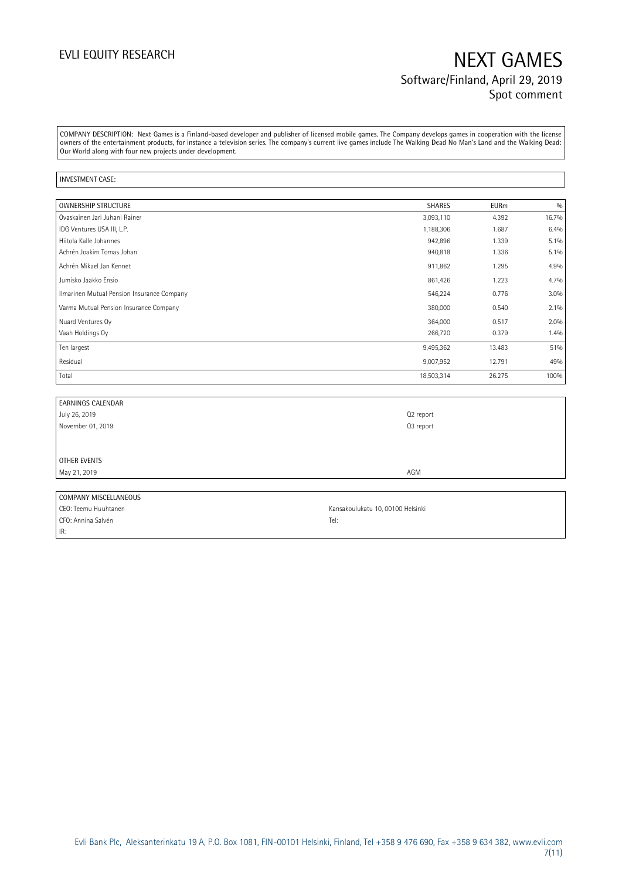## EVLI EQUITY RESEARCH NEXT GAMES Software/Finland, April 29, 2019 Spot comment

COMPANY DESCRIPTION: Next Games is a Finland-based developer and publisher of licensed mobile games. The Company develops games in cooperation with the license owners of the entertainment products, for instance a television series. The company's current live games include The Walking Dead No Man's Land and the Walking Dead: Our World along with four new projects under development.

#### INVESTMENT CASE:

| <b>OWNERSHIP STRUCTURE</b>                 | <b>SHARES</b> | <b>EURm</b> | 0/0     |
|--------------------------------------------|---------------|-------------|---------|
| Ovaskainen Jari Juhani Rainer              | 3,093,110     | 4.392       | 16.7%   |
| IDG Ventures USA III, L.P.                 | 1,188,306     | 1.687       | 6.4%    |
| Hiitola Kalle Johannes                     | 942,896       | 1.339       | 5.1%    |
| Achrén Joakim Tomas Johan                  | 940,818       | 1.336       | $5.1\%$ |
| Achrén Mikael Jan Kennet                   | 911,862       | 1.295       | 4.9%    |
| Jumisko Jaakko Ensio                       | 861,426       | 1.223       | 4.7%    |
| Ilmarinen Mutual Pension Insurance Company | 546,224       | 0.776       | 3.0%    |
| Varma Mutual Pension Insurance Company     | 380,000       | 0.540       | 2.1%    |
| Nuard Ventures Oy                          | 364,000       | 0.517       | 2.0%    |
| Vaah Holdings Oy                           | 266,720       | 0.379       | 1.4%    |
| Ten largest                                | 9,495,362     | 13.483      | 51%     |
| Residual                                   | 9,007,952     | 12.791      | 49%     |
| Total                                      | 18,503,314    | 26.275      | 100%    |

| <b>EARNINGS CALENDAR</b>     |                                   |
|------------------------------|-----------------------------------|
| July 26, 2019                | Q <sub>2</sub> report             |
| November 01, 2019            | Q3 report                         |
|                              |                                   |
|                              |                                   |
| <b>OTHER EVENTS</b>          |                                   |
| May 21, 2019                 | AGM                               |
|                              |                                   |
| <b>COMPANY MISCELLANEOUS</b> |                                   |
| CEO: Teemu Huuhtanen         | Kansakoulukatu 10, 00100 Helsinki |
| CFO: Annina Salvén           | Tel:                              |

IR:

Evli Bank Plc, Aleksanterinkatu 19 A, P.O. Box 1081, FIN-00101 Helsinki, Finland, Tel +358 9 476 690, Fax +358 9 634 382, [www.evli.com](http://www.evli.com/) 7(11)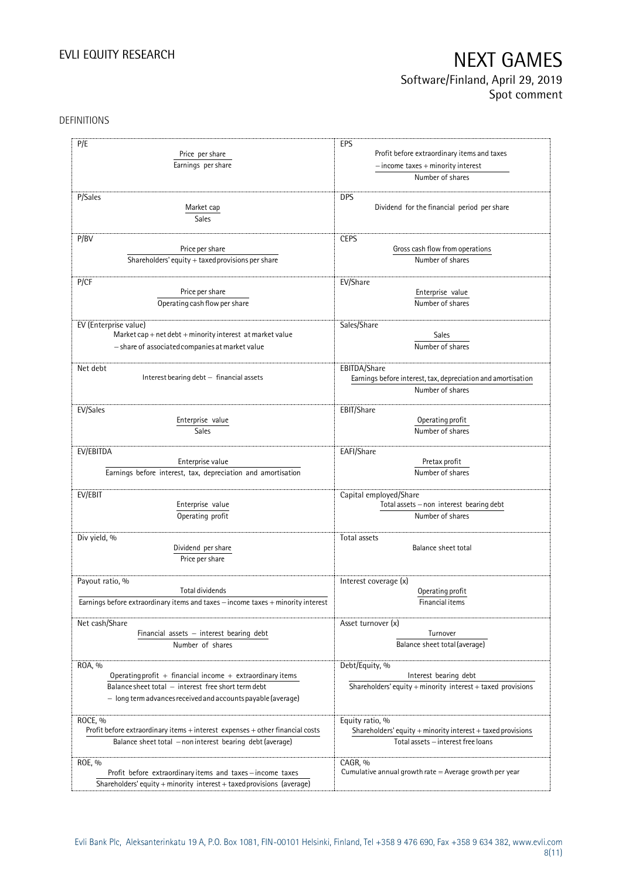# EVLI EQUITY RESEARCH NEXT GAMES Software/Finland, April 29, 2019

Spot comment

### DEFINITIONS

| P/E                                                                                | EPS                                                          |
|------------------------------------------------------------------------------------|--------------------------------------------------------------|
| Price per share                                                                    | Profit before extraordinary items and taxes                  |
| Earnings per share                                                                 | $-$ income taxes $+$ minority interest                       |
|                                                                                    | Number of shares                                             |
|                                                                                    |                                                              |
| P/Sales                                                                            | <b>DPS</b>                                                   |
| Market cap                                                                         | Dividend for the financial period per share                  |
| Sales                                                                              |                                                              |
|                                                                                    |                                                              |
| P/BV                                                                               | <b>CEPS</b>                                                  |
| Price per share                                                                    | Gross cash flow from operations                              |
| Shareholders' equity + taxed provisions per share                                  | Number of shares                                             |
|                                                                                    |                                                              |
| P/CF                                                                               | EV/Share                                                     |
| Price per share                                                                    | Enterprise value                                             |
| Operating cash flow per share                                                      | Number of shares                                             |
|                                                                                    |                                                              |
|                                                                                    |                                                              |
| EV (Enterprise value)<br>Market cap + net debt + minority interest at market value | Sales/Share<br>Sales                                         |
|                                                                                    |                                                              |
| - share of associated companies at market value                                    | Number of shares                                             |
|                                                                                    |                                                              |
| Net debt                                                                           | EBITDA/Share                                                 |
| Interest bearing debt - financial assets                                           | Earnings before interest, tax, depreciation and amortisation |
|                                                                                    | Number of shares                                             |
|                                                                                    |                                                              |
| EV/Sales                                                                           | EBIT/Share                                                   |
| Enterprise value                                                                   | Operating profit                                             |
| <b>Sales</b>                                                                       | Number of shares                                             |
|                                                                                    |                                                              |
| EV/EBITDA                                                                          | EAFI/Share                                                   |
| Enterprise value                                                                   | Pretax profit                                                |
| Earnings before interest, tax, depreciation and amortisation                       | Number of shares                                             |
|                                                                                    |                                                              |
| EV/EBIT                                                                            | Capital employed/Share                                       |
| Enterprise value                                                                   | Total assets - non interest bearing debt                     |
| Operating profit                                                                   | Number of shares                                             |
|                                                                                    |                                                              |
| Div yield, %                                                                       | Total assets                                                 |
| Dividend per share                                                                 | Balance sheet total                                          |
| Price per share                                                                    |                                                              |
|                                                                                    |                                                              |
| Payout ratio, %                                                                    | Interest coverage (x)                                        |
| Total dividends                                                                    | Operating profit                                             |
| Earnings before extraordinary items and taxes - income taxes + minority interest   | Financial items                                              |
|                                                                                    |                                                              |
| Net cash/Share                                                                     | Asset turnover (x)                                           |
| Financial assets - interest bearing debt                                           | Turnover                                                     |
| Number of shares                                                                   | Balance sheet total (average)                                |
|                                                                                    |                                                              |
| ROA, %                                                                             | Debt/Equity, %                                               |
| Operating profit + financial income + extraordinary items                          | Interest bearing debt                                        |
| Balance sheet total - interest free short term debt                                | Shareholders' equity + minority interest + taxed provisions  |
| - long term advances received and accounts payable (average)                       |                                                              |
|                                                                                    |                                                              |
| ROCE, %                                                                            | Equity ratio, %                                              |
| Profit before extraordinary items + interest expenses + other financial costs      | Shareholders' equity + minority interest + taxed provisions  |
| Balance sheet total - non interest bearing debt (average)                          | Total assets - interest free loans                           |
|                                                                                    |                                                              |
| ROE, %                                                                             | CAGR, %                                                      |
| Profit before extraordinary items and taxes-income taxes                           | Cumulative annual growth rate $=$ Average growth per year    |
| Shareholders' equity + minority interest + taxed provisions (average)              |                                                              |
|                                                                                    |                                                              |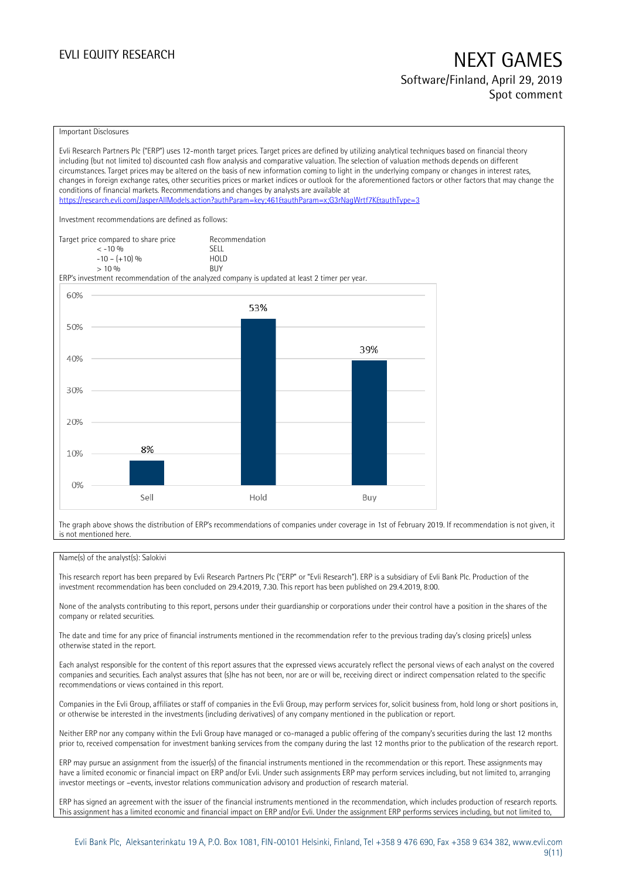## EVLI EQUITY RESEARCH NEXT GAMES Software/Finland, April 29, 2019 Spot comment

#### Important Disclosures

Evli Research Partners Plc ("ERP") uses 12-month target prices. Target prices are defined by utilizing analytical techniques based on financial theory including (but not limited to) discounted cash flow analysis and comparative valuation. The selection of valuation methods depends on different circumstances. Target prices may be altered on the basis of new information coming to light in the underlying company or changes in interest rates, changes in foreign exchange rates, other securities prices or market indices or outlook for the aforementioned factors or other factors that may change the conditions of financial markets. Recommendations and changes by analysts are available at <https://research.evli.com/JasperAllModels.action?authParam=key;461&authParam=x;G3rNagWrtf7K&authType=3> Investment recommendations are defined as follows: Target price compared to share price Recommendation<br>  $\leq 10\%$  $\langle 5, 10, 10 \rangle$  SELL<br>  $\langle -10, 1, 10 \rangle$   $\langle 6, 10 \rangle$   $\langle 10, 10 \rangle$  $-10 - (+10) \%$  HOL<br>  $> 10 \%$  RIJY  $> 10\%$ ERP's investment recommendation of the analyzed company is updated at least 2 timer per year. 60% 53% 50% 39% 40% 30% 20% 8% 10%  $0%$ Sell Hold Buy

The graph above shows the distribution of ERP's recommendations of companies under coverage in 1st of February 2019. If recommendation is not given, it is not mentioned here.

#### Name(s) of the analyst(s): Salokivi

This research report has been prepared by Evli Research Partners Plc ("ERP" or "Evli Research"). ERP is a subsidiary of Evli Bank Plc. Production of the investment recommendation has been concluded on 29.4.2019, 7.30. This report has been published on 29.4.2019, 8:00.

None of the analysts contributing to this report, persons under their guardianship or corporations under their control have a position in the shares of the company or related securities.

The date and time for any price of financial instruments mentioned in the recommendation refer to the previous trading day's closing price(s) unless otherwise stated in the report.

Each analyst responsible for the content of this report assures that the expressed views accurately reflect the personal views of each analyst on the covered companies and securities. Each analyst assures that (s)he has not been, nor are or will be, receiving direct or indirect compensation related to the specific recommendations or views contained in this report.

Companies in the Evli Group, affiliates or staff of companies in the Evli Group, may perform services for, solicit business from, hold long or short positions in, or otherwise be interested in the investments (including derivatives) of any company mentioned in the publication or report.

Neither ERP nor any company within the Evli Group have managed or co-managed a public offering of the company's securities during the last 12 months prior to, received compensation for investment banking services from the company during the last 12 months prior to the publication of the research report.

ERP may pursue an assignment from the issuer(s) of the financial instruments mentioned in the recommendation or this report. These assignments may have a limited economic or financial impact on ERP and/or Evli. Under such assignments ERP may perform services including, but not limited to, arranging investor meetings or –events, investor relations communication advisory and production of research material.

ERP has signed an agreement with the issuer of the financial instruments mentioned in the recommendation, which includes production of research reports. This assignment has a limited economic and financial impact on ERP and/or Evli. Under the assignment ERP performs services including, but not limited to,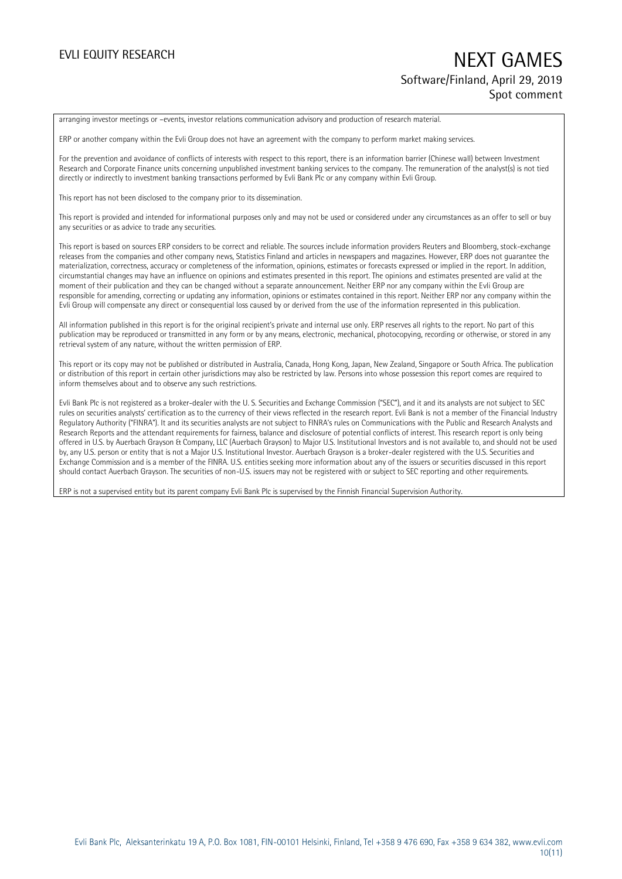## EVLI EQUITY RESEARCH NEXT GAMES Software/Finland, April 29, 2019 Spot comment

arranging investor meetings or –events, investor relations communication advisory and production of research material.

ERP or another company within the Evli Group does not have an agreement with the company to perform market making services.

For the prevention and avoidance of conflicts of interests with respect to this report, there is an information barrier (Chinese wall) between Investment Research and Corporate Finance units concerning unpublished investment banking services to the company. The remuneration of the analyst(s) is not tied directly or indirectly to investment banking transactions performed by Evli Bank Plc or any company within Evli Group.

This report has not been disclosed to the company prior to its dissemination.

This report is provided and intended for informational purposes only and may not be used or considered under any circumstances as an offer to sell or buy any securities or as advice to trade any securities.

This report is based on sources ERP considers to be correct and reliable. The sources include information providers Reuters and Bloomberg, stock-exchange releases from the companies and other company news, Statistics Finland and articles in newspapers and magazines. However, ERP does not guarantee the materialization, correctness, accuracy or completeness of the information, opinions, estimates or forecasts expressed or implied in the report. In addition, circumstantial changes may have an influence on opinions and estimates presented in this report. The opinions and estimates presented are valid at the moment of their publication and they can be changed without a separate announcement. Neither ERP nor any company within the Evli Group are responsible for amending, correcting or updating any information, opinions or estimates contained in this report. Neither ERP nor any company within the Evli Group will compensate any direct or consequential loss caused by or derived from the use of the information represented in this publication.

All information published in this report is for the original recipient's private and internal use only. ERP reserves all rights to the report. No part of this publication may be reproduced or transmitted in any form or by any means, electronic, mechanical, photocopying, recording or otherwise, or stored in any retrieval system of any nature, without the written permission of ERP.

This report or its copy may not be published or distributed in Australia, Canada, Hong Kong, Japan, New Zealand, Singapore or South Africa. The publication or distribution of this report in certain other jurisdictions may also be restricted by law. Persons into whose possession this report comes are required to inform themselves about and to observe any such restrictions.

Evli Bank Plc is not registered as a broker-dealer with the U. S. Securities and Exchange Commission ("SEC"), and it and its analysts are not subject to SEC rules on securities analysts' certification as to the currency of their views reflected in the research report. Evli Bank is not a member of the Financial Industry Regulatory Authority ("FINRA"). It and its securities analysts are not subject to FINRA's rules on Communications with the Public and Research Analysts and Research Reports and the attendant requirements for fairness, balance and disclosure of potential conflicts of interest. This research report is only being offered in U.S. by Auerbach Grayson & Company, LLC (Auerbach Grayson) to Major U.S. Institutional Investors and is not available to, and should not be used by, any U.S. person or entity that is not a Major U.S. Institutional Investor. Auerbach Grayson is a broker-dealer registered with the U.S. Securities and Exchange Commission and is a member of the FINRA. U.S. entities seeking more information about any of the issuers or securities discussed in this report should contact Auerbach Grayson. The securities of non-U.S. issuers may not be registered with or subject to SEC reporting and other requirements.

ERP is not a supervised entity but its parent company Evli Bank Plc is supervised by the Finnish Financial Supervision Authority.